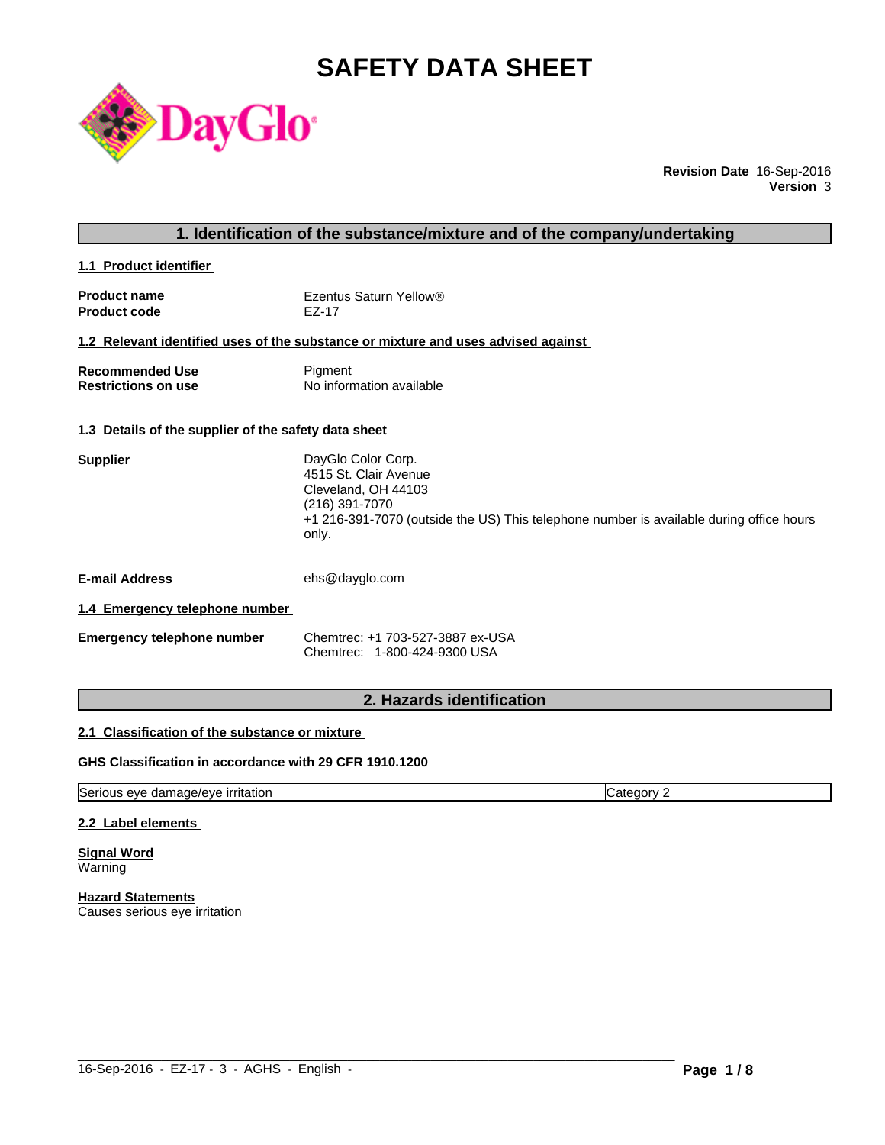# **SAFETY DATA SHEET**



**Revision Date** 16-Sep-2016 **Version** 3

# **1. Identification of the substance/mixture and of the company/undertaking**

**1.1 Product identifier** 

| <b>Product name</b> | Ezentus Saturn Yellow® |
|---------------------|------------------------|
| <b>Product code</b> | EZ-17                  |

# **1.2 Relevant identified uses of the substance or mixture and uses advised against**

| Recommended Use            | Pigment                  |
|----------------------------|--------------------------|
| <b>Restrictions on use</b> | No information available |

#### **1.3 Details of the supplier of the safety data sheet**

| DayGlo Color Corp.                                                                      |
|-----------------------------------------------------------------------------------------|
| 4515 St. Clair Avenue                                                                   |
| Cleveland, OH 44103                                                                     |
| (216) 391-7070                                                                          |
| +1 216-391-7070 (outside the US) This telephone number is available during office hours |
| only.                                                                                   |
|                                                                                         |

**E-mail Address** ehs@dayglo.com

# **1.4 Emergency telephone number**

| <b>Emergency telephone number</b> | Chemtrec: +1 703-527-3887 ex-USA |  |
|-----------------------------------|----------------------------------|--|
|                                   | Chemtrec: 1-800-424-9300 USA     |  |

# **2. Hazards identification**

# **2.1 Classification of the substance or mixture**

# **GHS Classification in accordance with 29 CFR 1910.1200**

Serious eye damage/eye irritation Category 2

#### **2.2 Label elements**

**Signal Word Warning** 

**Hazard Statements** Causes serious eye irritation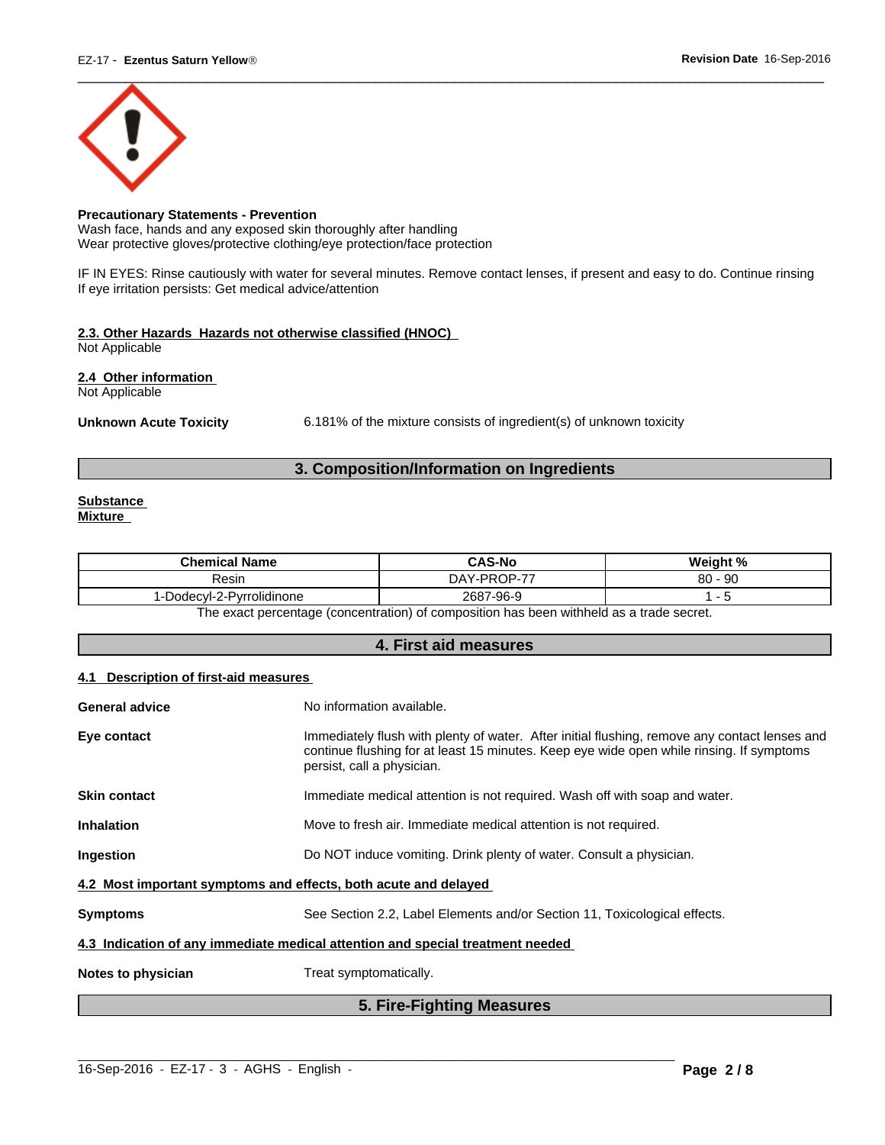

# **Precautionary Statements - Prevention**

Wash face, hands and any exposed skin thoroughly after handling Wear protective gloves/protective clothing/eye protection/face protection

IF IN EYES: Rinse cautiously with water for several minutes. Remove contact lenses, if present and easy to do. Continue rinsing If eye irritation persists: Get medical advice/attention

# **2.3. Other Hazards Hazards not otherwise classified (HNOC)**

Not Applicable

**2.4 Other information** 

Not Applicable

Unknown Acute Toxicity 6.181% of the mixture consists of ingredient(s) of unknown toxicity

# **3. Composition/Information on Ingredients**

#### **Substance Mixture**

| <b>Chemical Name</b>         | <b>CAS-No</b>         | Weight %               |
|------------------------------|-----------------------|------------------------|
| Resin                        | $1.1$ -PROP-77<br>DAY | $\Omega$<br>- 90<br>ου |
| Dodecyl-2-Pyrrolidinone<br>◡ | 2687<br>7-96-9        |                        |
| <u>_</u>                     | .<br>.<br>.           |                        |

The exact percentage (concentration) of composition has been withheld as a trade secret.

# **4. First aid measures**

# **4.1 Description of first-aid measures**

| <b>General advice</b>                                                          | No information available.                                                                                                                                                                                               |  |  |
|--------------------------------------------------------------------------------|-------------------------------------------------------------------------------------------------------------------------------------------------------------------------------------------------------------------------|--|--|
| Eye contact                                                                    | Immediately flush with plenty of water. After initial flushing, remove any contact lenses and<br>continue flushing for at least 15 minutes. Keep eye wide open while rinsing. If symptoms<br>persist, call a physician. |  |  |
| <b>Skin contact</b>                                                            | Immediate medical attention is not required. Wash off with soap and water.                                                                                                                                              |  |  |
| <b>Inhalation</b>                                                              | Move to fresh air. Immediate medical attention is not required.                                                                                                                                                         |  |  |
| Ingestion                                                                      | Do NOT induce vomiting. Drink plenty of water. Consult a physician.                                                                                                                                                     |  |  |
| 4.2 Most important symptoms and effects, both acute and delayed                |                                                                                                                                                                                                                         |  |  |
| <b>Symptoms</b>                                                                | See Section 2.2, Label Elements and/or Section 11, Toxicological effects.                                                                                                                                               |  |  |
| 4.3 Indication of any immediate medical attention and special treatment needed |                                                                                                                                                                                                                         |  |  |
| Notes to physician                                                             | Treat symptomatically.                                                                                                                                                                                                  |  |  |

# **5. Fire-Fighting Measures**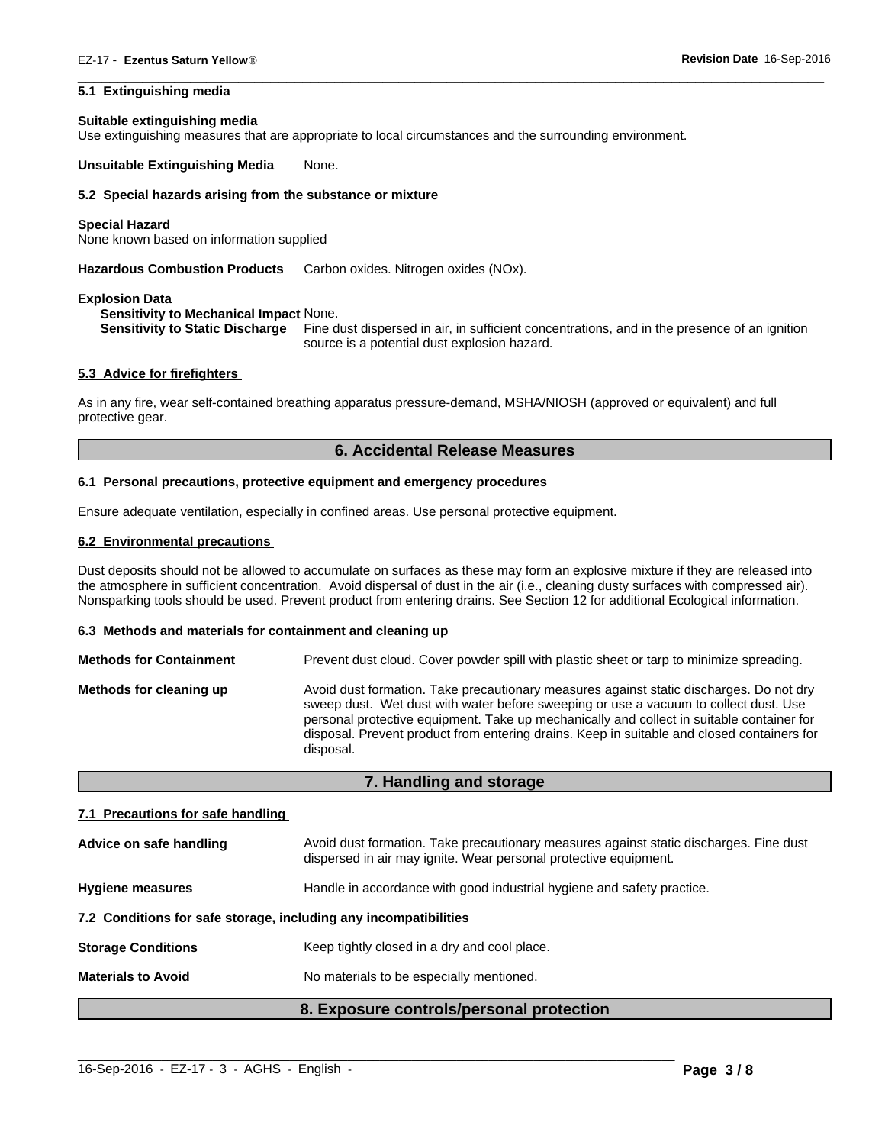#### **5.1 Extinguishing media**

#### **Suitable extinguishing media**

Use extinguishing measures that are appropriate to local circumstances and the surrounding environment.

**Unsuitable Extinguishing Media** None.

# **5.2 Special hazards arising from the substance or mixture**

#### **Special Hazard**

None known based on information supplied

**Hazardous Combustion Products** Carbon oxides. Nitrogen oxides (NOx).

#### **Explosion Data**

#### **Sensitivity to Mechanical Impact** None.

**Sensitivity to Static Discharge** Fine dust dispersed in air, in sufficient concentrations, and in the presence of an ignition source is a potential dust explosion hazard.

 $\overline{\phantom{a}}$  ,  $\overline{\phantom{a}}$  ,  $\overline{\phantom{a}}$  ,  $\overline{\phantom{a}}$  ,  $\overline{\phantom{a}}$  ,  $\overline{\phantom{a}}$  ,  $\overline{\phantom{a}}$  ,  $\overline{\phantom{a}}$  ,  $\overline{\phantom{a}}$  ,  $\overline{\phantom{a}}$  ,  $\overline{\phantom{a}}$  ,  $\overline{\phantom{a}}$  ,  $\overline{\phantom{a}}$  ,  $\overline{\phantom{a}}$  ,  $\overline{\phantom{a}}$  ,  $\overline{\phantom{a}}$ 

#### **5.3 Advice for firefighters**

As in any fire, wear self-contained breathing apparatus pressure-demand, MSHA/NIOSH (approved or equivalent) and full protective gear.

#### **6. Accidental Release Measures**

#### **6.1 Personal precautions, protective equipment and emergency procedures**

Ensure adequate ventilation, especially in confined areas. Use personal protective equipment.

#### **6.2 Environmental precautions**

Dust deposits should not be allowed to accumulate on surfaces as these may form an explosive mixture if they are released into the atmosphere in sufficient concentration. Avoid dispersal of dust in the air (i.e., cleaning dusty surfaces with compressed air). Nonsparking tools should be used. Prevent product from entering drains. See Section 12 for additional Ecological information.

#### **6.3 Methods and materials for containment and cleaning up**

| <b>Methods for Containment</b> | Prevent dust cloud. Cover powder spill with plastic sheet or tarp to minimize spreading.                                                                                                                                                                                                                                                                                                |
|--------------------------------|-----------------------------------------------------------------------------------------------------------------------------------------------------------------------------------------------------------------------------------------------------------------------------------------------------------------------------------------------------------------------------------------|
| Methods for cleaning up        | Avoid dust formation. Take precautionary measures against static discharges. Do not dry<br>sweep dust. Wet dust with water before sweeping or use a vacuum to collect dust. Use<br>personal protective equipment. Take up mechanically and collect in suitable container for<br>disposal. Prevent product from entering drains. Keep in suitable and closed containers for<br>disposal. |

#### **7. Handling and storage**

#### **7.1 Precautions for safe handling**

|                                                                  | 8. Exposure controls/personal protection                                                                                                                   |  |  |
|------------------------------------------------------------------|------------------------------------------------------------------------------------------------------------------------------------------------------------|--|--|
| <b>Materials to Avoid</b>                                        | No materials to be especially mentioned.                                                                                                                   |  |  |
| <b>Storage Conditions</b>                                        | Keep tightly closed in a dry and cool place.                                                                                                               |  |  |
| 7.2 Conditions for safe storage, including any incompatibilities |                                                                                                                                                            |  |  |
| <b>Hygiene measures</b>                                          | Handle in accordance with good industrial hygiene and safety practice.                                                                                     |  |  |
| Advice on safe handling                                          | Avoid dust formation. Take precautionary measures against static discharges. Fine dust<br>dispersed in air may ignite. Wear personal protective equipment. |  |  |

 $\_$  ,  $\_$  ,  $\_$  ,  $\_$  ,  $\_$  ,  $\_$  ,  $\_$  ,  $\_$  ,  $\_$  ,  $\_$  ,  $\_$  ,  $\_$  ,  $\_$  ,  $\_$  ,  $\_$  ,  $\_$  ,  $\_$  ,  $\_$  ,  $\_$  ,  $\_$  ,  $\_$  ,  $\_$  ,  $\_$  ,  $\_$  ,  $\_$  ,  $\_$  ,  $\_$  ,  $\_$  ,  $\_$  ,  $\_$  ,  $\_$  ,  $\_$  ,  $\_$  ,  $\_$  ,  $\_$  ,  $\_$  ,  $\_$  ,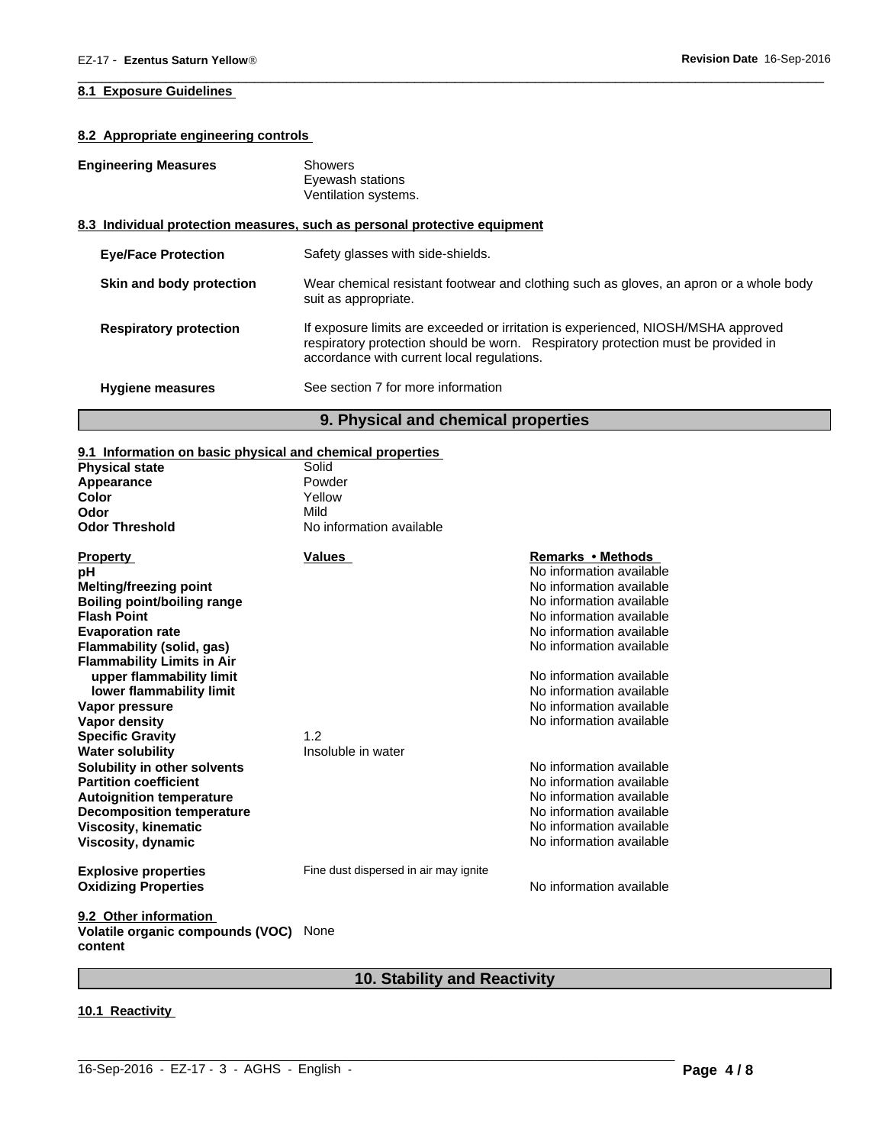# **8.1 Exposure Guidelines**

# **8.2 Appropriate engineering controls**

# **Engineering Measures** Showers

Eyewash stations Ventilation systems.

# **8.3 Individual protection measures, such as personal protective equipment**

| <b>Eye/Face Protection</b>    | Safety glasses with side-shields.                                                                                                                                                                                    |
|-------------------------------|----------------------------------------------------------------------------------------------------------------------------------------------------------------------------------------------------------------------|
| Skin and body protection      | Wear chemical resistant footwear and clothing such as gloves, an apron or a whole body<br>suit as appropriate.                                                                                                       |
| <b>Respiratory protection</b> | If exposure limits are exceeded or irritation is experienced, NIOSH/MSHA approved<br>respiratory protection should be worn. Respiratory protection must be provided in<br>accordance with current local regulations. |
| <b>Hygiene measures</b>       | See section 7 for more information                                                                                                                                                                                   |
|                               | 9. Physical and chemical properties                                                                                                                                                                                  |

 $\overline{\phantom{a}}$  ,  $\overline{\phantom{a}}$  ,  $\overline{\phantom{a}}$  ,  $\overline{\phantom{a}}$  ,  $\overline{\phantom{a}}$  ,  $\overline{\phantom{a}}$  ,  $\overline{\phantom{a}}$  ,  $\overline{\phantom{a}}$  ,  $\overline{\phantom{a}}$  ,  $\overline{\phantom{a}}$  ,  $\overline{\phantom{a}}$  ,  $\overline{\phantom{a}}$  ,  $\overline{\phantom{a}}$  ,  $\overline{\phantom{a}}$  ,  $\overline{\phantom{a}}$  ,  $\overline{\phantom{a}}$ 

# **9.1 Information on basic physical and chemical properties**

| <b>Physical state</b>                       | Solid                                 |                          |
|---------------------------------------------|---------------------------------------|--------------------------|
| Appearance                                  | Powder                                |                          |
| Color                                       | Yellow                                |                          |
| Odor                                        | Mild                                  |                          |
| <b>Odor Threshold</b>                       | No information available              |                          |
| <b>Property</b>                             | <b>Values</b>                         | Remarks • Methods        |
| рH                                          |                                       | No information available |
| <b>Melting/freezing point</b>               |                                       | No information available |
| <b>Boiling point/boiling range</b>          |                                       | No information available |
| <b>Flash Point</b>                          |                                       | No information available |
| <b>Evaporation rate</b>                     |                                       | No information available |
| Flammability (solid, gas)                   |                                       | No information available |
| <b>Flammability Limits in Air</b>           |                                       |                          |
| upper flammability limit                    |                                       | No information available |
| lower flammability limit                    |                                       | No information available |
| Vapor pressure                              |                                       | No information available |
| Vapor density                               |                                       | No information available |
| <b>Specific Gravity</b>                     | 1.2                                   |                          |
| <b>Water solubility</b>                     | Insoluble in water                    |                          |
| Solubility in other solvents                |                                       | No information available |
| <b>Partition coefficient</b>                |                                       | No information available |
| <b>Autoignition temperature</b>             |                                       | No information available |
| <b>Decomposition temperature</b>            |                                       | No information available |
| <b>Viscosity, kinematic</b>                 |                                       | No information available |
| Viscosity, dynamic                          |                                       | No information available |
| <b>Explosive properties</b>                 | Fine dust dispersed in air may ignite |                          |
| <b>Oxidizing Properties</b>                 |                                       | No information available |
| 9.2 Other information                       |                                       |                          |
| Volatile organic compounds (VOC)<br>content | None                                  |                          |

# **10. Stability and Reactivity**

 $\_$  ,  $\_$  ,  $\_$  ,  $\_$  ,  $\_$  ,  $\_$  ,  $\_$  ,  $\_$  ,  $\_$  ,  $\_$  ,  $\_$  ,  $\_$  ,  $\_$  ,  $\_$  ,  $\_$  ,  $\_$  ,  $\_$  ,  $\_$  ,  $\_$  ,  $\_$  ,  $\_$  ,  $\_$  ,  $\_$  ,  $\_$  ,  $\_$  ,  $\_$  ,  $\_$  ,  $\_$  ,  $\_$  ,  $\_$  ,  $\_$  ,  $\_$  ,  $\_$  ,  $\_$  ,  $\_$  ,  $\_$  ,  $\_$  ,

# **10.1 Reactivity**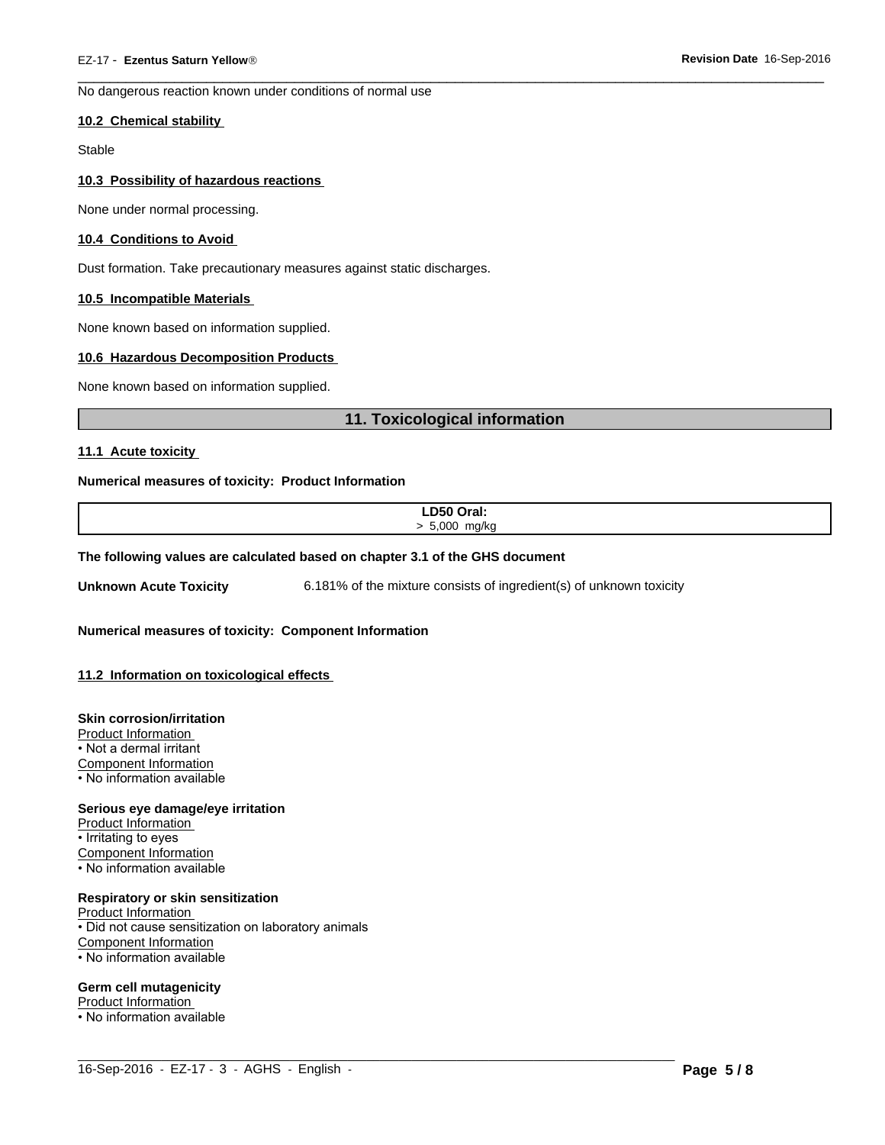No dangerous reaction known under conditions of normal use

#### **10.2 Chemical stability**

Stable

#### **10.3 Possibility of hazardous reactions**

None under normal processing.

#### **10.4 Conditions to Avoid**

Dust formation. Take precautionary measures against static discharges.

#### **10.5 Incompatible Materials**

None known based on information supplied.

#### **10.6 Hazardous Decomposition Products**

None known based on information supplied.

# **11. Toxicological information**

 $\overline{\phantom{a}}$  ,  $\overline{\phantom{a}}$  ,  $\overline{\phantom{a}}$  ,  $\overline{\phantom{a}}$  ,  $\overline{\phantom{a}}$  ,  $\overline{\phantom{a}}$  ,  $\overline{\phantom{a}}$  ,  $\overline{\phantom{a}}$  ,  $\overline{\phantom{a}}$  ,  $\overline{\phantom{a}}$  ,  $\overline{\phantom{a}}$  ,  $\overline{\phantom{a}}$  ,  $\overline{\phantom{a}}$  ,  $\overline{\phantom{a}}$  ,  $\overline{\phantom{a}}$  ,  $\overline{\phantom{a}}$ 

#### **11.1 Acute toxicity**

#### **Numerical measures of toxicity: Product Information**

| LD50 Oral:              |  |
|-------------------------|--|
| 5.000<br>m <sub>0</sub> |  |
|                         |  |

 $\_$  ,  $\_$  ,  $\_$  ,  $\_$  ,  $\_$  ,  $\_$  ,  $\_$  ,  $\_$  ,  $\_$  ,  $\_$  ,  $\_$  ,  $\_$  ,  $\_$  ,  $\_$  ,  $\_$  ,  $\_$  ,  $\_$  ,  $\_$  ,  $\_$  ,  $\_$  ,  $\_$  ,  $\_$  ,  $\_$  ,  $\_$  ,  $\_$  ,  $\_$  ,  $\_$  ,  $\_$  ,  $\_$  ,  $\_$  ,  $\_$  ,  $\_$  ,  $\_$  ,  $\_$  ,  $\_$  ,  $\_$  ,  $\_$  ,

#### **The following values are calculated based on chapter 3.1 of the GHS document**

**Unknown Acute Toxicity** 6.181% of the mixture consists of ingredient(s) of unknown toxicity

**Numerical measures of toxicity: Component Information**

#### **11.2 Information on toxicological effects**

#### **Skin corrosion/irritation**

Product Information • Not a dermal irritant Component Information • No information available

**Serious eye damage/eye irritation**

Product Information • Irritating to eyes Component Information • No information available

### **Respiratory or skin sensitization**

Product Information • Did not cause sensitization on laboratory animals Component Information • No information available

#### **Germ cell mutagenicity**

Product Information

• No information available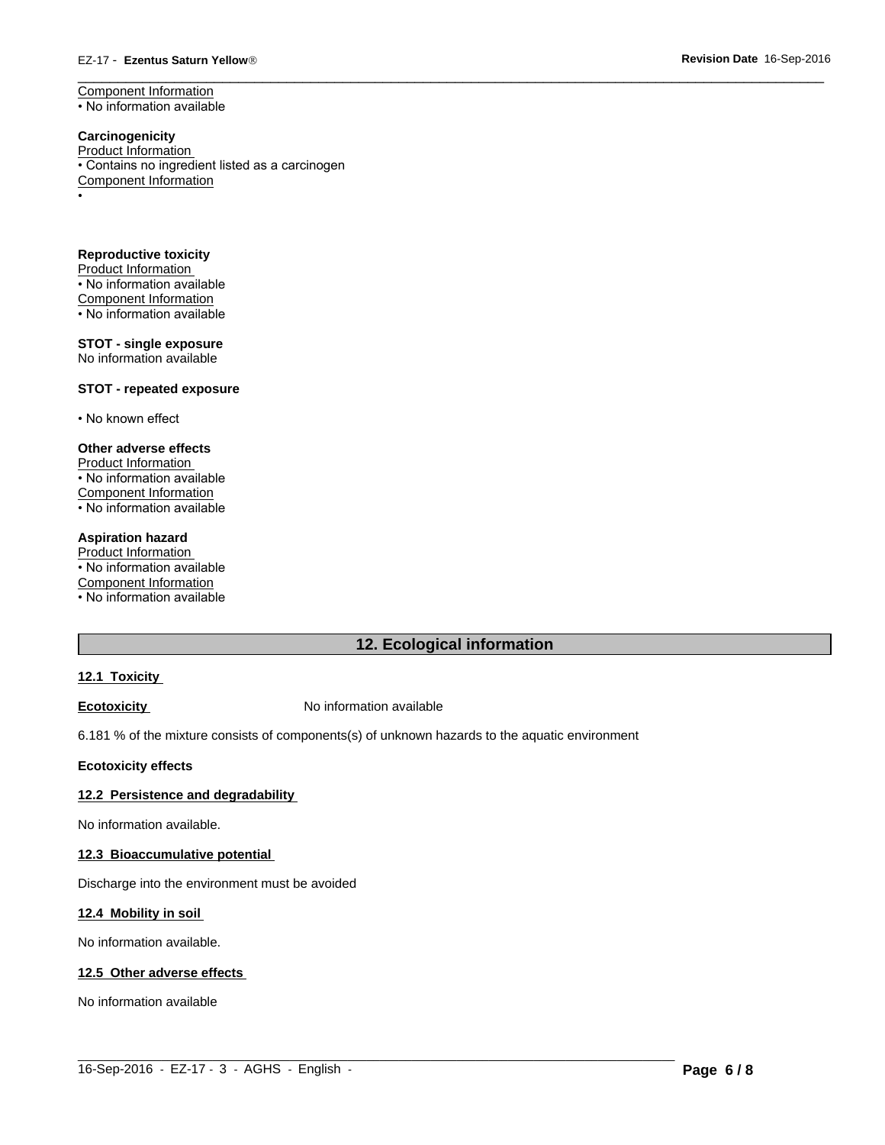#### EZ-17 - **Ezentus Saturn YellowÒ**

Component Information • No information available

#### **Carcinogenicity** Product Information • Contains no ingredient listed as a carcinogen Component Information •

**Reproductive toxicity** Product Information • No information available Component Information • No information available

**STOT - single exposure** No information available

#### **STOT - repeated exposure**

• No known effect

#### **Other adverse effects**

Product Information • No information available Component Information • No information available

#### **Aspiration hazard**

Product Information • No information available Component Information • No information available

# **12. Ecological information**

 $\_$  ,  $\_$  ,  $\_$  ,  $\_$  ,  $\_$  ,  $\_$  ,  $\_$  ,  $\_$  ,  $\_$  ,  $\_$  ,  $\_$  ,  $\_$  ,  $\_$  ,  $\_$  ,  $\_$  ,  $\_$  ,  $\_$  ,  $\_$  ,  $\_$  ,  $\_$  ,  $\_$  ,  $\_$  ,  $\_$  ,  $\_$  ,  $\_$  ,  $\_$  ,  $\_$  ,  $\_$  ,  $\_$  ,  $\_$  ,  $\_$  ,  $\_$  ,  $\_$  ,  $\_$  ,  $\_$  ,  $\_$  ,  $\_$  ,

 $\overline{\phantom{a}}$  ,  $\overline{\phantom{a}}$  ,  $\overline{\phantom{a}}$  ,  $\overline{\phantom{a}}$  ,  $\overline{\phantom{a}}$  ,  $\overline{\phantom{a}}$  ,  $\overline{\phantom{a}}$  ,  $\overline{\phantom{a}}$  ,  $\overline{\phantom{a}}$  ,  $\overline{\phantom{a}}$  ,  $\overline{\phantom{a}}$  ,  $\overline{\phantom{a}}$  ,  $\overline{\phantom{a}}$  ,  $\overline{\phantom{a}}$  ,  $\overline{\phantom{a}}$  ,  $\overline{\phantom{a}}$ 

#### **12.1 Toxicity**

**Ecotoxicity No information available** 

6.181 % of the mixture consists of components(s) of unknown hazards to the aquatic environment

**Ecotoxicity effects**

# **12.2 Persistence and degradability**

No information available.

#### **12.3 Bioaccumulative potential**

Discharge into the environment must be avoided

#### **12.4 Mobility in soil**

No information available.

#### **12.5 Other adverse effects**

No information available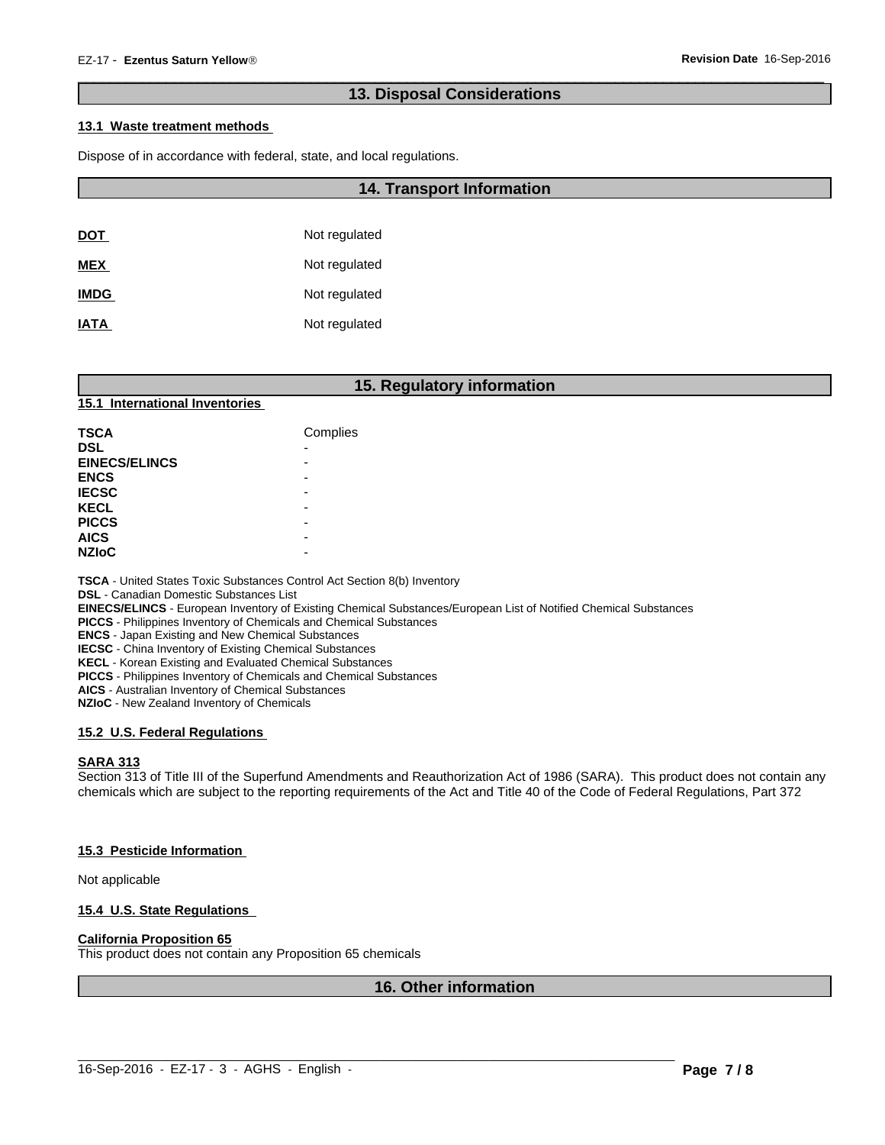# **13. Disposal Considerations**

 $\overline{\phantom{a}}$  ,  $\overline{\phantom{a}}$  ,  $\overline{\phantom{a}}$  ,  $\overline{\phantom{a}}$  ,  $\overline{\phantom{a}}$  ,  $\overline{\phantom{a}}$  ,  $\overline{\phantom{a}}$  ,  $\overline{\phantom{a}}$  ,  $\overline{\phantom{a}}$  ,  $\overline{\phantom{a}}$  ,  $\overline{\phantom{a}}$  ,  $\overline{\phantom{a}}$  ,  $\overline{\phantom{a}}$  ,  $\overline{\phantom{a}}$  ,  $\overline{\phantom{a}}$  ,  $\overline{\phantom{a}}$ 

# **13.1 Waste treatment methods**

Dispose of in accordance with federal, state, and local regulations.

|             | <b>14. Transport Information</b> |  |  |
|-------------|----------------------------------|--|--|
|             |                                  |  |  |
| <b>DOT</b>  | Not regulated                    |  |  |
| <b>MEX</b>  | Not regulated                    |  |  |
| <b>IMDG</b> | Not regulated                    |  |  |
| <b>IATA</b> | Not regulated                    |  |  |

# **15. Regulatory information**

# **15.1 International Inventories**

| <b>TSCA</b>          | Complies |
|----------------------|----------|
| <b>DSL</b>           | -        |
| <b>EINECS/ELINCS</b> |          |
| <b>ENCS</b>          |          |
| <b>IECSC</b>         |          |
| <b>KECL</b>          |          |
| <b>PICCS</b>         |          |
| <b>AICS</b>          |          |
| <b>NZIoC</b>         |          |

**TSCA** - United States Toxic Substances Control Act Section 8(b) Inventory

**DSL** - Canadian Domestic Substances List

**EINECS/ELINCS** - European Inventory of Existing Chemical Substances/European List of Notified Chemical Substances

**PICCS** - Philippines Inventory of Chemicals and Chemical Substances

**ENCS** - Japan Existing and New Chemical Substances

**IECSC** - China Inventory of Existing Chemical Substances

**KECL** - Korean Existing and Evaluated Chemical Substances

**PICCS** - Philippines Inventory of Chemicals and Chemical Substances

**AICS** - Australian Inventory of Chemical Substances

**NZIoC** - New Zealand Inventory of Chemicals

# **15.2 U.S. Federal Regulations**

#### **SARA 313**

Section 313 of Title III of the Superfund Amendments and Reauthorization Act of 1986 (SARA). This product does not contain any chemicals which are subject to the reporting requirements of the Act and Title 40 of the Code of Federal Regulations, Part 372

#### **15.3 Pesticide Information**

Not applicable

#### **15.4 U.S. State Regulations**

#### **California Proposition 65**

This product does not contain any Proposition 65 chemicals

# **16. Other information**

 $\_$  ,  $\_$  ,  $\_$  ,  $\_$  ,  $\_$  ,  $\_$  ,  $\_$  ,  $\_$  ,  $\_$  ,  $\_$  ,  $\_$  ,  $\_$  ,  $\_$  ,  $\_$  ,  $\_$  ,  $\_$  ,  $\_$  ,  $\_$  ,  $\_$  ,  $\_$  ,  $\_$  ,  $\_$  ,  $\_$  ,  $\_$  ,  $\_$  ,  $\_$  ,  $\_$  ,  $\_$  ,  $\_$  ,  $\_$  ,  $\_$  ,  $\_$  ,  $\_$  ,  $\_$  ,  $\_$  ,  $\_$  ,  $\_$  ,